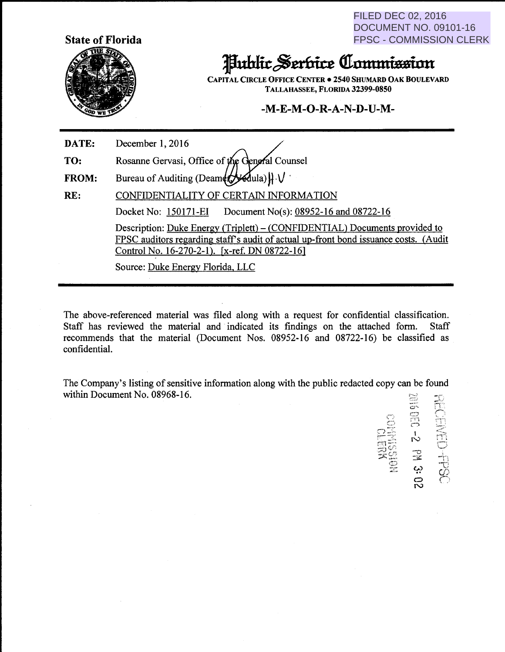FILED DEC 02, 2016 DOCUMENT NO. 09101-16 FPSC - COMMISSION CLERK



## Juhlic Serbice Commission

CAPITAL CIRCLE OFFICE CENTER . 2540 SHUMARD OAK BOULEVARD TALLAHASSEE, FLORIDA 32399-0850

## $-M-E-M-O-R-A-N-D-U-M-$

DATE: December 1, 2016

TO: Rosanne Gervasi, Office of the General Counsel

Bureau of Auditing (Deamer  $\mathcal{A}$ ula) $\mathcal{H} \setminus \mathcal{V}$ FROM:

RE: CONFIDENTIALITY OF CERTAIN INFORMATION Docket No: 150171-EI Document No(s): 08952-16 and 08722-16 Description: Duke Energy (Triplett) – (CONFIDENTIAL) Documents provided to FPSC auditors regarding staff's audit of actual up-front bond issuance costs. (Audit Control No. 16-270-2-1). [x-ref. DN 08722-16]

Source: Duke Energy Florida. LLC

The above-referenced material was filed along with a request for confidential classification. Staff has reviewed the material and indicated its findings on the attached form. Staff recommends that the material (Document Nos. 08952-16 and 08722-16) be classified as confidential.

The Company's listing of sensitive information along with the public redacted copy can be found within Document No. 08968-16.